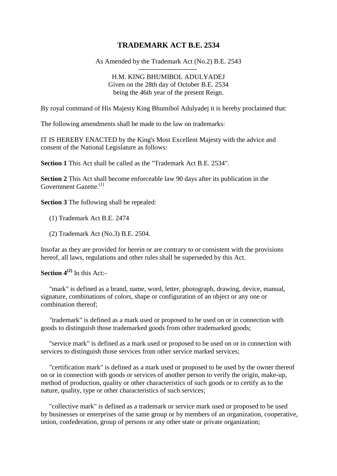## **TRADEMARK ACT B.E. 2534**

As Amended by the Trademark Act (No.2) B.E. 2543

-------------------------- H.M. KING BHUMIBOL ADULYADEJ Given on the 28th day of October B.E. 2534 being the 46th year of the present Reign.

By royal command of His Majesty King Bhumibol Adulyadej it is hereby proclaimed that:

The following amendments shall be made to the law on trademarks:

IT IS HEREBY ENACTED by the King's Most Excellent Majesty with the advice and consent of the National Legislature as follows:

**Section 1** This Act shall be called as the "Trademark Act B.E. 2534".

**Section 2** This Act shall become enforceable law 90 days after its publication in the Government Gazette.<sup>(1)</sup>

**Section 3** The following shall be repealed:

(1) Trademark Act B.E. 2474

(2) Trademark Act (No.3) B.E. 2504.

Insofar as they are provided for herein or are contrary to or consistent with the provisions hereof, all laws, regulations and other rules shall be superseded by this Act.

**Section 4(2)** In this Act:-

"mark" is defined as a brand, name, word, letter, photograph, drawing, device, manual, signature, combinations of colors, shape or configuration of an object or any one or combination thereof;

"trademark" is defined as a mark used or proposed to be used on or in connection with goods to distinguish those trademarked goods from other trademarked goods;

"service mark" is defined as a mark used or proposed to be used on or in connection with services to distinguish those services from other service marked services;

"certification mark" is defined as a mark used or proposed to be used by the owner thereof on or in connection with goods or services of another person to verify the origin, make-up, method of production, quality or other characteristics of such goods or to certify as to the nature, quality, type or other characteristics of such services;

"collective mark" is defined as a trademark or service mark used or proposed to be used by businesses or enterprises of the same group or by members of an organization, cooperative, union, confederation, group of persons or any other state or private organization;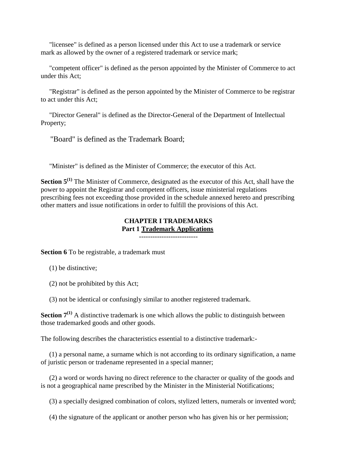"licensee" is defined as a person licensed under this Act to use a trademark or service mark as allowed by the owner of a registered trademark or service mark;

"competent officer" is defined as the person appointed by the Minister of Commerce to act under this Act;

"Registrar" is defined as the person appointed by the Minister of Commerce to be registrar to act under this Act;

"Director General" is defined as the Director-General of the Department of Intellectual Property;

"Board" is defined as the Trademark Board;

"Minister" is defined as the Minister of Commerce; the executor of this Act.

**Section 5<sup>(1)</sup>** The Minister of Commerce, designated as the executor of this Act, shall have the power to appoint the Registrar and competent officers, issue ministerial regulations prescribing fees not exceeding those provided in the schedule annexed hereto and prescribing other matters and issue notifications in order to fulfill the provisions of this Act.

#### **CHAPTER I TRADEMARKS Part 1 [Trademark Applications](http://www.siamtrademark.com/faqs.html)** --------------------------

**Section 6** To be registrable, a trademark must

- (1) be distinctive;
- (2) not be prohibited by this Act;
- (3) not be identical or confusingly similar to another registered trademark.

**Section**  $7^{(1)}$  A distinctive trademark is one which allows the public to distinguish between those trademarked goods and other goods.

The following describes the characteristics essential to a distinctive trademark:-

(1) a personal name, a surname which is not according to its ordinary signification, a name of juristic person or tradename represented in a special manner;

(2) a word or words having no direct reference to the character or quality of the goods and is not a geographical name prescribed by the Minister in the Ministerial Notifications;

(3) a specially designed combination of colors, stylized letters, numerals or invented word;

(4) the signature of the applicant or another person who has given his or her permission;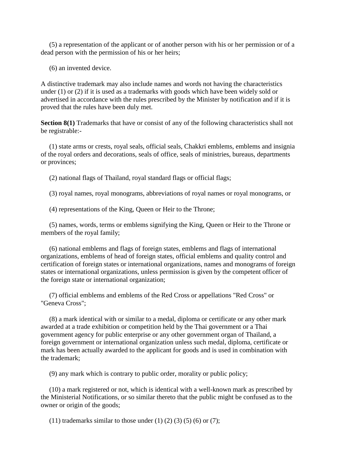(5) a representation of the applicant or of another person with his or her permission or of a dead person with the permission of his or her heirs;

(6) an invented device.

A distinctive trademark may also include names and words not having the characteristics under (1) or (2) if it is used as a trademarks with goods which have been widely sold or advertised in accordance with the rules prescribed by the Minister by notification and if it is proved that the rules have been duly met.

**Section 8(1)** Trademarks that have or consist of any of the following characteristics shall not be registrable:-

(1) state arms or crests, royal seals, official seals, Chakkri emblems, emblems and insignia of the royal orders and decorations, seals of office, seals of ministries, bureaus, departments or provinces;

(2) national flags of Thailand, royal standard flags or official flags;

(3) royal names, royal monograms, abbreviations of royal names or royal monograms, or

(4) representations of the King, Queen or Heir to the Throne;

(5) names, words, terms or emblems signifying the King, Queen or Heir to the Throne or members of the royal family;

(6) national emblems and flags of foreign states, emblems and flags of international organizations, emblems of head of foreign states, official emblems and quality control and certification of foreign states or international organizations, names and monograms of foreign states or international organizations, unless permission is given by the competent officer of the foreign state or international organization;

(7) official emblems and emblems of the Red Cross or appellations "Red Cross" or "Geneva Cross";

(8) a mark identical with or similar to a medal, diploma or certificate or any other mark awarded at a trade exhibition or competition held by the Thai government or a Thai government agency for public enterprise or any other government organ of Thailand, a foreign government or international organization unless such medal, diploma, certificate or mark has been actually awarded to the applicant for goods and is used in combination with the trademark;

(9) any mark which is contrary to public order, morality or public policy;

(10) a mark registered or not, which is identical with a well-known mark as prescribed by the Ministerial Notifications, or so similar thereto that the public might be confused as to the owner or origin of the goods;

(11) trademarks similar to those under (1) (2) (3) (5) (6) or (7);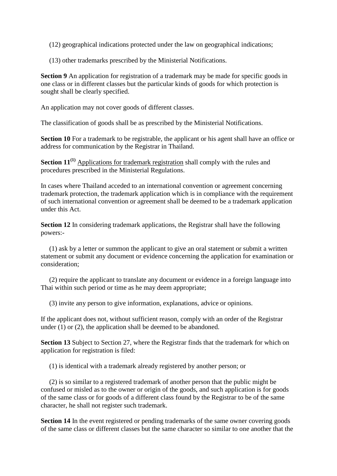(12) geographical indications protected under the law on geographical indications;

(13) other trademarks prescribed by the Ministerial Notifications.

**Section 9** An application for registration of a trademark may be made for specific goods in one class or in different classes but the particular kinds of goods for which protection is sought shall be clearly specified.

An application may not cover goods of different classes.

The classification of goods shall be as prescribed by the Ministerial Notifications.

Section 10 For a trademark to be registrable, the applicant or his agent shall have an office or address for communication by the Registrar in Thailand.

**Section 11<sup>(1)</sup>** [Applications for trademark registration](http://www.siamtrademark.com/trademark-services.html) shall comply with the rules and procedures prescribed in the Ministerial Regulations.

In cases where Thailand acceded to an international convention or agreement concerning trademark protection, the trademark application which is in compliance with the requirement of such international convention or agreement shall be deemed to be a trademark application under this Act.

**Section 12** In considering trademark applications, the Registrar shall have the following powers:-

(1) ask by a letter or summon the applicant to give an oral statement or submit a written statement or submit any document or evidence concerning the application for examination or consideration;

(2) require the applicant to translate any document or evidence in a foreign language into Thai within such period or time as he may deem appropriate;

(3) invite any person to give information, explanations, advice or opinions.

If the applicant does not, without sufficient reason, comply with an order of the Registrar under (1) or (2), the application shall be deemed to be abandoned.

**Section 13** Subject to Section 27, where the Registrar finds that the trademark for which on application for registration is filed:

(1) is identical with a trademark already registered by another person; or

(2) is so similar to a registered trademark of another person that the public might be confused or misled as to the owner or origin of the goods, and such application is for goods of the same class or for goods of a different class found by the Registrar to be of the same character, he shall not register such trademark.

**Section 14** In the event registered or pending trademarks of the same owner covering goods of the same class or different classes but the same character so similar to one another that the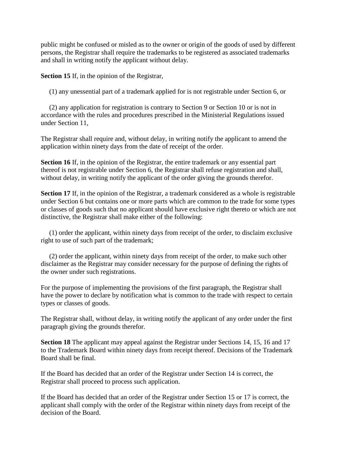public might be confused or misled as to the owner or origin of the goods of used by different persons, the Registrar shall require the trademarks to be registered as associated trademarks and shall in writing notify the applicant without delay.

**Section 15** If, in the opinion of the Registrar,

(1) any unessential part of a trademark applied for is not registrable under Section 6, or

(2) any application for registration is contrary to Section 9 or Section 10 or is not in accordance with the rules and procedures prescribed in the Ministerial Regulations issued under Section 11,

The Registrar shall require and, without delay, in writing notify the applicant to amend the application within ninety days from the date of receipt of the order.

**Section 16** If, in the opinion of the Registrar, the entire trademark or any essential part thereof is not registrable under Section 6, the Registrar shall refuse registration and shall, without delay, in writing notify the applicant of the order giving the grounds therefor.

Section 17 If, in the opinion of the Registrar, a trademark considered as a whole is registrable under Section 6 but contains one or more parts which are common to the trade for some types or classes of goods such that no applicant should have exclusive right thereto or which are not distinctive, the Registrar shall make either of the following:

(1) order the applicant, within ninety days from receipt of the order, to disclaim exclusive right to use of such part of the trademark;

(2) order the applicant, within ninety days from receipt of the order, to make such other disclaimer as the Registrar may consider necessary for the purpose of defining the rights of the owner under such registrations.

For the purpose of implementing the provisions of the first paragraph, the Registrar shall have the power to declare by notification what is common to the trade with respect to certain types or classes of goods.

The Registrar shall, without delay, in writing notify the applicant of any order under the first paragraph giving the grounds therefor.

**Section 18** The applicant may appeal against the Registrar under Sections 14, 15, 16 and 17 to the Trademark Board within ninety days from receipt thereof. Decisions of the Trademark Board shall be final.

If the Board has decided that an order of the Registrar under Section 14 is correct, the Registrar shall proceed to process such application.

If the Board has decided that an order of the Registrar under Section 15 or 17 is correct, the applicant shall comply with the order of the Registrar within ninety days from receipt of the decision of the Board.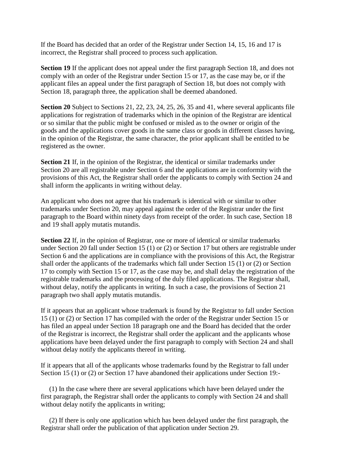If the Board has decided that an order of the Registrar under Section 14, 15, 16 and 17 is incorrect, the Registrar shall proceed to process such application.

**Section 19** If the applicant does not appeal under the first paragraph Section 18, and does not comply with an order of the Registrar under Section 15 or 17, as the case may be, or if the applicant files an appeal under the first paragraph of Section 18, but does not comply with Section 18, paragraph three, the application shall be deemed abandoned.

**Section 20** Subject to Sections 21, 22, 23, 24, 25, 26, 35 and 41, where several applicants file applications for registration of trademarks which in the opinion of the Registrar are identical or so similar that the public might be confused or misled as to the owner or origin of the goods and the applications cover goods in the same class or goods in different classes having, in the opinion of the Registrar, the same character, the prior applicant shall be entitled to be registered as the owner.

**Section 21** If, in the opinion of the Registrar, the identical or similar trademarks under Section 20 are all registrable under Section 6 and the applications are in conformity with the provisions of this Act, the Registrar shall order the applicants to comply with Section 24 and shall inform the applicants in writing without delay.

An applicant who does not agree that his trademark is identical with or similar to other trademarks under Section 20, may appeal against the order of the Registrar under the first paragraph to the Board within ninety days from receipt of the order. In such case, Section 18 and 19 shall apply mutatis mutandis.

**Section 22** If, in the opinion of Registrar, one or more of identical or similar trademarks under Section 20 fall under Section 15 (1) or (2) or Section 17 but others are registrable under Section 6 and the applications are in compliance with the provisions of this Act, the Registrar shall order the applicants of the trademarks which fall under Section 15 (1) or (2) or Section 17 to comply with Section 15 or 17, as the case may be, and shall delay the registration of the registrable trademarks and the processing of the duly filed applications. The Registrar shall, without delay, notify the applicants in writing. In such a case, the provisions of Section 21 paragraph two shall apply mutatis mutandis.

If it appears that an applicant whose trademark is found by the Registrar to fall under Section 15 (1) or (2) or Section 17 has compiled with the order of the Registrar under Section 15 or has filed an appeal under Section 18 paragraph one and the Board has decided that the order of the Registrar is incorrect, the Registrar shall order the applicant and the applicants whose applications have been delayed under the first paragraph to comply with Section 24 and shall without delay notify the applicants thereof in writing.

If it appears that all of the applicants whose trademarks found by the Registrar to fall under Section 15 (1) or (2) or Section 17 have abandoned their applications under Section 19:-

(1) In the case where there are several applications which have been delayed under the first paragraph, the Registrar shall order the applicants to comply with Section 24 and shall without delay notify the applicants in writing;

(2) If there is only one application which has been delayed under the first paragraph, the Registrar shall order the publication of that application under Section 29.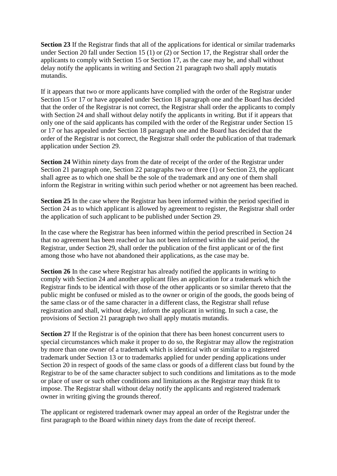**Section 23** If the Registrar finds that all of the applications for identical or similar trademarks under Section 20 fall under Section 15 (1) or (2) or Section 17, the Registrar shall order the applicants to comply with Section 15 or Section 17, as the case may be, and shall without delay notify the applicants in writing and Section 21 paragraph two shall apply mutatis mutandis.

If it appears that two or more applicants have complied with the order of the Registrar under Section 15 or 17 or have appealed under Section 18 paragraph one and the Board has decided that the order of the Registrar is not correct, the Registrar shall order the applicants to comply with Section 24 and shall without delay notify the applicants in writing. But if it appears that only one of the said applicants has compiled with the order of the Registrar under Section 15 or 17 or has appealed under Section 18 paragraph one and the Board has decided that the order of the Registrar is not correct, the Registrar shall order the publication of that trademark application under Section 29.

**Section 24** Within ninety days from the date of receipt of the order of the Registrar under Section 21 paragraph one, Section 22 paragraphs two or three (1) or Section 23, the applicant shall agree as to which one shall be the sole of the trademark and any one of them shall inform the Registrar in writing within such period whether or not agreement has been reached.

**Section 25** In the case where the Registrar has been informed within the period specified in Section 24 as to which applicant is allowed by agreement to register, the Registrar shall order the application of such applicant to be published under Section 29.

In the case where the Registrar has been informed within the period prescribed in Section 24 that no agreement has been reached or has not been informed within the said period, the Registrar, under Section 29, shall order the publication of the first applicant or of the first among those who have not abandoned their applications, as the case may be.

**Section 26** In the case where Registrar has already notified the applicants in writing to comply with Section 24 and another applicant files an application for a trademark which the Registrar finds to be identical with those of the other applicants or so similar thereto that the public might be confused or misled as to the owner or origin of the goods, the goods being of the same class or of the same character in a different class, the Registrar shall refuse registration and shall, without delay, inform the applicant in writing. In such a case, the provisions of Section 21 paragraph two shall apply mutatis mutandis.

**Section 27** If the Registrar is of the opinion that there has been honest concurrent users to special circumstances which make it proper to do so, the Registrar may allow the registration by more than one owner of a trademark which is identical with or similar to a registered trademark under Section 13 or to trademarks applied for under pending applications under Section 20 in respect of goods of the same class or goods of a different class but found by the Registrar to be of the same character subject to such conditions and limitations as to the mode or place of user or such other conditions and limitations as the Registrar may think fit to impose. The Registrar shall without delay notify the applicants and registered trademark owner in writing giving the grounds thereof.

The applicant or registered trademark owner may appeal an order of the Registrar under the first paragraph to the Board within ninety days from the date of receipt thereof.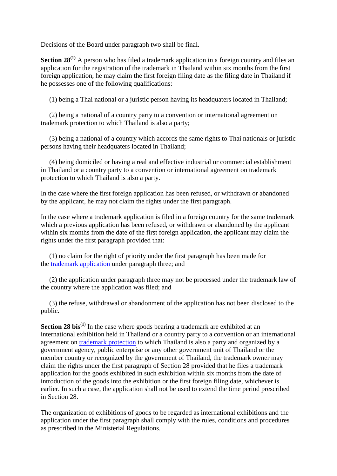Decisions of the Board under paragraph two shall be final.

**Section 28**<sup>(1)</sup> A person who has filed a trademark application in a foreign country and files an application for the registration of the trademark in Thailand within six months from the first foreign application, he may claim the first foreign filing date as the filing date in Thailand if he possesses one of the following qualifications:

(1) being a Thai national or a juristic person having its headquaters located in Thailand;

(2) being a national of a country party to a convention or international agreement on trademark protection to which Thailand is also a party;

(3) being a national of a country which accords the same rights to Thai nationals or juristic persons having their headquaters located in Thailand;

(4) being domiciled or having a real and effective industrial or commercial establishment in Thailand or a country party to a convention or international agreement on trademark protection to which Thailand is also a party.

In the case where the first foreign application has been refused, or withdrawn or abandoned by the applicant, he may not claim the rights under the first paragraph.

In the case where a trademark application is filed in a foreign country for the same trademark which a previous application has been refused, or withdrawn or abandoned by the applicant within six months from the date of the first foreign application, the applicant may claim the rights under the first paragraph provided that:

(1) no claim for the right of priority under the first paragraph has been made for the [trademark application](http://www.siamtrademark.com/trademark-services.html) under paragraph three; and

(2) the application under paragraph three may not be processed under the trademark law of the country where the application was filed; and

(3) the refuse, withdrawal or abandonment of the application has not been disclosed to the public.

**Section 28 bis**<sup>(1)</sup> In the case where goods bearing a trademark are exhibited at an international exhibition held in Thailand or a country party to a convention or an international agreement on [trademark protection](http://www.siamtrademark.com/enforcement.html) to which Thailand is also a party and organized by a government agency, public enterprise or any other government unit of Thailand or the member country or recognized by the government of Thailand, the trademark owner may claim the rights under the first paragraph of Section 28 provided that he files a trademark application for the goods exhibited in such exhibition within six months from the date of introduction of the goods into the exhibition or the first foreign filing date, whichever is earlier. In such a case, the application shall not be used to extend the time period prescribed in Section 28.

The organization of exhibitions of goods to be regarded as international exhibitions and the application under the first paragraph shall comply with the rules, conditions and procedures as prescribed in the Ministerial Regulations.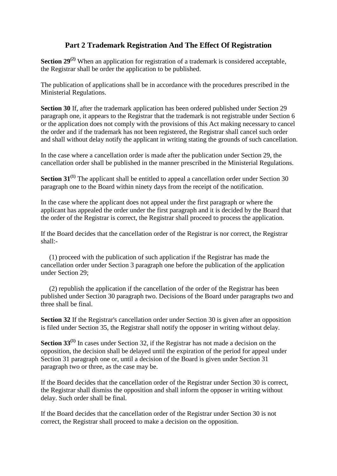# **Part 2 Trademark Registration And The Effect Of Registration**

**Section 29<sup>(2)</sup>** When an application for registration of a trademark is considered acceptable, the Registrar shall be order the application to be published.

The publication of applications shall be in accordance with the procedures prescribed in the Ministerial Regulations.

**Section 30** If, after the trademark application has been ordered published under Section 29 paragraph one, it appears to the Registrar that the trademark is not registrable under Section 6 or the application does not comply with the provisions of this Act making necessary to cancel the order and if the trademark has not been registered, the Registrar shall cancel such order and shall without delay notify the applicant in writing stating the grounds of such cancellation.

In the case where a cancellation order is made after the publication under Section 29, the cancellation order shall be published in the manner prescribed in the Ministerial Regulations.

**Section 31<sup>(1)</sup>** The applicant shall be entitled to appeal a cancellation order under Section 30 paragraph one to the Board within ninety days from the receipt of the notification.

In the case where the applicant does not appeal under the first paragraph or where the applicant has appealed the order under the first paragraph and it is decided by the Board that the order of the Registrar is correct, the Registrar shall proceed to process the application.

If the Board decides that the cancellation order of the Registrar is nor correct, the Registrar shall:-

(1) proceed with the publication of such application if the Registrar has made the cancellation order under Section 3 paragraph one before the publication of the application under Section 29;

(2) republish the application if the cancellation of the order of the Registrar has been published under Section 30 paragraph two. Decisions of the Board under paragraphs two and three shall be final.

**Section 32** If the Registrar's cancellation order under Section 30 is given after an opposition is filed under Section 35, the Registrar shall notify the opposer in writing without delay.

**Section 33(1)** In cases under Section 32, if the Registrar has not made a decision on the opposition, the decision shall be delayed until the expiration of the period for appeal under Section 31 paragraph one or, until a decision of the Board is given under Section 31 paragraph two or three, as the case may be.

If the Board decides that the cancellation order of the Registrar under Section 30 is correct, the Registrar shall dismiss the opposition and shall inform the opposer in writing without delay. Such order shall be final.

If the Board decides that the cancellation order of the Registrar under Section 30 is not correct, the Registrar shall proceed to make a decision on the opposition.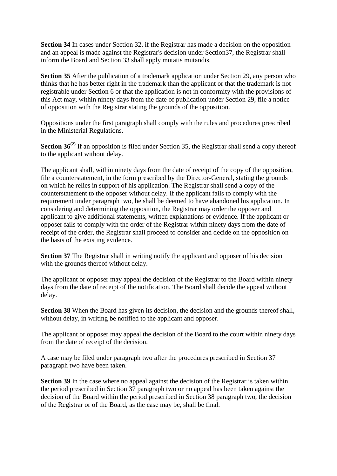**Section 34** In cases under Section 32, if the Registrar has made a decision on the opposition and an appeal is made against the Registrar's decision under Section37, the Registrar shall inform the Board and Section 33 shall apply mutatis mutandis.

**Section 35** After the publication of a trademark application under Section 29, any person who thinks that he has better right in the trademark than the applicant or that the trademark is not registrable under Section 6 or that the application is not in conformity with the provisions of this Act may, within ninety days from the date of publication under Section 29, file a notice of opposition with the Registrar stating the grounds of the opposition.

Oppositions under the first paragraph shall comply with the rules and procedures prescribed in the Ministerial Regulations.

**Section 36<sup>(2)</sup>** If an opposition is filed under Section 35, the Registrar shall send a copy thereof to the applicant without delay.

The applicant shall, within ninety days from the date of receipt of the copy of the opposition, file a counterstatement, in the form prescribed by the Director-General, stating the grounds on which he relies in support of his application. The Registrar shall send a copy of the counterstatement to the opposer without delay. If the applicant fails to comply with the requirement under paragraph two, he shall be deemed to have abandoned his application. In considering and determining the opposition, the Registrar may order the opposer and applicant to give additional statements, written explanations or evidence. If the applicant or opposer fails to comply with the order of the Registrar within ninety days from the date of receipt of the order, the Registrar shall proceed to consider and decide on the opposition on the basis of the existing evidence.

**Section 37** The Registrar shall in writing notify the applicant and opposer of his decision with the grounds thereof without delay.

The applicant or opposer may appeal the decision of the Registrar to the Board within ninety days from the date of receipt of the notification. The Board shall decide the appeal without delay.

**Section 38** When the Board has given its decision, the decision and the grounds thereof shall, without delay, in writing be notified to the applicant and opposer.

The applicant or opposer may appeal the decision of the Board to the court within ninety days from the date of receipt of the decision.

A case may be filed under paragraph two after the procedures prescribed in Section 37 paragraph two have been taken.

**Section 39** In the case where no appeal against the decision of the Registrar is taken within the period prescribed in Section 37 paragraph two or no appeal has been taken against the decision of the Board within the period prescribed in Section 38 paragraph two, the decision of the Registrar or of the Board, as the case may be, shall be final.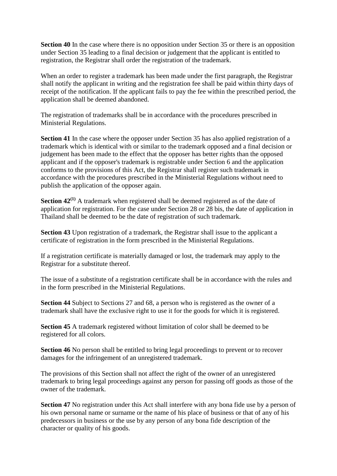**Section 40** In the case where there is no opposition under Section 35 or there is an opposition under Section 35 leading to a final decision or judgement that the applicant is entitled to registration, the Registrar shall order the registration of the trademark.

When an order to register a trademark has been made under the first paragraph, the Registrar shall notify the applicant in writing and the registration fee shall be paid within thirty days of receipt of the notification. If the applicant fails to pay the fee within the prescribed period, the application shall be deemed abandoned.

The registration of trademarks shall be in accordance with the procedures prescribed in Ministerial Regulations.

**Section 41** In the case where the opposer under Section 35 has also applied registration of a trademark which is identical with or similar to the trademark opposed and a final decision or judgement has been made to the effect that the opposer has better rights than the opposed applicant and if the opposer's trademark is registrable under Section 6 and the application conforms to the provisions of this Act, the Registrar shall register such trademark in accordance with the procedures prescribed in the Ministerial Regulations without need to publish the application of the opposer again.

**Section 42<sup>(1)</sup>** A trademark when registered shall be deemed registered as of the date of application for registration. For the case under Section 28 or 28 bis, the date of application in Thailand shall be deemed to be the date of registration of such trademark.

**Section 43** Upon registration of a trademark, the Registrar shall issue to the applicant a certificate of registration in the form prescribed in the Ministerial Regulations.

If a registration certificate is materially damaged or lost, the trademark may apply to the Registrar for a substitute thereof.

The issue of a substitute of a registration certificate shall be in accordance with the rules and in the form prescribed in the Ministerial Regulations.

**Section 44** Subject to Sections 27 and 68, a person who is registered as the owner of a trademark shall have the exclusive right to use it for the goods for which it is registered.

**Section 45** A trademark registered without limitation of color shall be deemed to be registered for all colors.

**Section 46** No person shall be entitled to bring legal proceedings to prevent or to recover damages for the infringement of an unregistered trademark.

The provisions of this Section shall not affect the right of the owner of an unregistered trademark to bring legal proceedings against any person for passing off goods as those of the owner of the trademark.

**Section 47** No registration under this Act shall interfere with any bona fide use by a person of his own personal name or surname or the name of his place of business or that of any of his predecessors in business or the use by any person of any bona fide description of the character or quality of his goods.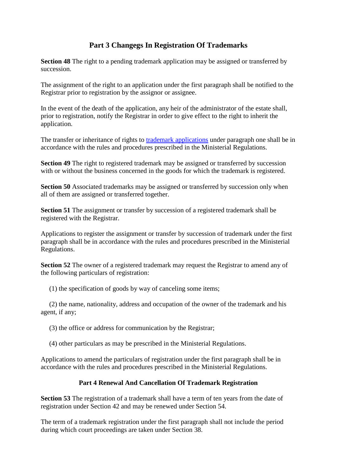# **Part 3 Changegs In Registration Of Trademarks**

**Section 48** The right to a pending trademark application may be assigned or transferred by succession.

The assignment of the right to an application under the first paragraph shall be notified to the Registrar prior to registration by the assignor or assignee.

In the event of the death of the application, any heir of the administrator of the estate shall, prior to registration, notify the Registrar in order to give effect to the right to inherit the application.

The transfer or inheritance of rights to [trademark applications](http://www.siamtrademark.com/trademark-services.html) under paragraph one shall be in accordance with the rules and procedures prescribed in the Ministerial Regulations.

**Section 49** The right to registered trademark may be assigned or transferred by succession with or without the business concerned in the goods for which the trademark is registered.

**Section 50** Associated trademarks may be assigned or transferred by succession only when all of them are assigned or transferred together.

**Section 51** The assignment or transfer by succession of a registered trademark shall be registered with the Registrar.

Applications to register the assignment or transfer by succession of trademark under the first paragraph shall be in accordance with the rules and procedures prescribed in the Ministerial Regulations.

**Section 52** The owner of a registered trademark may request the Registrar to amend any of the following particulars of registration:

(1) the specification of goods by way of canceling some items;

(2) the name, nationality, address and occupation of the owner of the trademark and his agent, if any;

(3) the office or address for communication by the Registrar;

(4) other particulars as may be prescribed in the Ministerial Regulations.

Applications to amend the particulars of registration under the first paragraph shall be in accordance with the rules and procedures prescribed in the Ministerial Regulations.

## **Part 4 Renewal And Cancellation Of Trademark Registration**

**Section 53** The registration of a trademark shall have a term of ten years from the date of registration under Section 42 and may be renewed under Section 54.

The term of a trademark registration under the first paragraph shall not include the period during which court proceedings are taken under Section 38.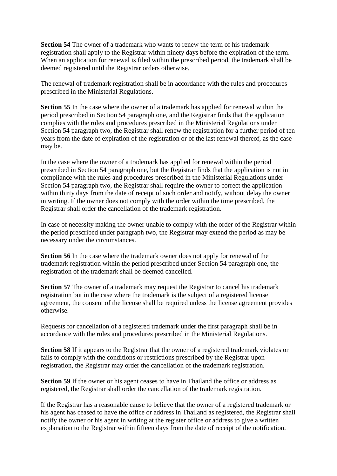**Section 54** The owner of a trademark who wants to renew the term of his trademark registration shall apply to the Registrar within ninety days before the expiration of the term. When an application for renewal is filed within the prescribed period, the trademark shall be deemed registered until the Registrar orders otherwise.

The renewal of trademark registration shall be in accordance with the rules and procedures prescribed in the Ministerial Regulations.

**Section 55** In the case where the owner of a trademark has applied for renewal within the period prescribed in Section 54 paragraph one, and the Registrar finds that the application complies with the rules and procedures prescribed in the Ministerial Regulations under Section 54 paragraph two, the Registrar shall renew the registration for a further period of ten years from the date of expiration of the registration or of the last renewal thereof, as the case may be.

In the case where the owner of a trademark has applied for renewal within the period prescribed in Section 54 paragraph one, but the Registrar finds that the application is not in compliance with the rules and procedures prescribed in the Ministerial Regulations under Section 54 paragraph two, the Registrar shall require the owner to correct the application within thirty days from the date of receipt of such order and notify, without delay the owner in writing. If the owner does not comply with the order within the time prescribed, the Registrar shall order the cancellation of the trademark registration.

In case of necessity making the owner unable to comply with the order of the Registrar within the period prescribed under paragraph two, the Registrar may extend the period as may be necessary under the circumstances.

**Section 56** In the case where the trademark owner does not apply for renewal of the trademark registration within the period prescribed under Section 54 paragraph one, the registration of the trademark shall be deemed cancelled.

**Section 57** The owner of a trademark may request the Registrar to cancel his trademark registration but in the case where the trademark is the subject of a registered license agreement, the consent of the license shall be required unless the license agreement provides otherwise.

Requests for cancellation of a registered trademark under the first paragraph shall be in accordance with the rules and procedures prescribed in the Ministerial Regulations.

**Section 58** If it appears to the Registrar that the owner of a registered trademark violates or fails to comply with the conditions or restrictions prescribed by the Registrar upon registration, the Registrar may order the cancellation of the trademark registration.

**Section 59** If the owner or his agent ceases to have in Thailand the office or address as registered, the Registrar shall order the cancellation of the trademark registration.

If the Registrar has a reasonable cause to believe that the owner of a registered trademark or his agent has ceased to have the office or address in Thailand as registered, the Registrar shall notify the owner or his agent in writing at the register office or address to give a written explanation to the Registrar within fifteen days from the date of receipt of the notification.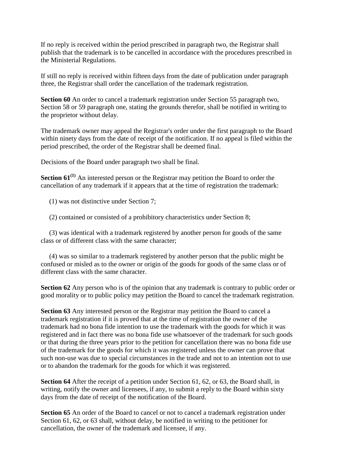If no reply is received within the period prescribed in paragraph two, the Registrar shall publish that the trademark is to be cancelled in accordance with the procedures prescribed in the Ministerial Regulations.

If still no reply is received within fifteen days from the date of publication under paragraph three, the Registrar shall order the cancellation of the trademark registration.

**Section 60** An order to cancel a trademark registration under Section 55 paragraph two, Section 58 or 59 paragraph one, stating the grounds therefor, shall be notified in writing to the proprietor without delay.

The trademark owner may appeal the Registrar's order under the first paragraph to the Board within ninety days from the date of receipt of the notification. If no appeal is filed within the period prescribed, the order of the Registrar shall be deemed final.

Decisions of the Board under paragraph two shall be final.

**Section 61<sup>(1)</sup>** An interested person or the Registrar may petition the Board to order the cancellation of any trademark if it appears that at the time of registration the trademark:

(1) was not distinctive under Section 7;

(2) contained or consisted of a prohibitory characteristics under Section 8;

(3) was identical with a trademark registered by another person for goods of the same class or of different class with the same character;

(4) was so similar to a trademark registered by another person that the public might be confused or misled as to the owner or origin of the goods for goods of the same class or of different class with the same character.

**Section 62** Any person who is of the opinion that any trademark is contrary to public order or good morality or to public policy may petition the Board to cancel the trademark registration.

**Section 63** Any interested person or the Registrar may petition the Board to cancel a trademark registration if it is proved that at the time of registration the owner of the trademark had no bona fide intention to use the trademark with the goods for which it was registered and in fact there was no bona fide use whatsoever of the trademark for such goods or that during the three years prior to the petition for cancellation there was no bona fide use of the trademark for the goods for which it was registered unless the owner can prove that such non-use was due to special circumstances in the trade and not to an intention not to use or to abandon the trademark for the goods for which it was registered.

**Section 64** After the receipt of a petition under Section 61, 62, or 63, the Board shall, in writing, notify the owner and licensees, if any, to submit a reply to the Board within sixty days from the date of receipt of the notification of the Board.

**Section 65** An order of the Board to cancel or not to cancel a trademark registration under Section 61, 62, or 63 shall, without delay, be notified in writing to the petitioner for cancellation, the owner of the trademark and licensee, if any.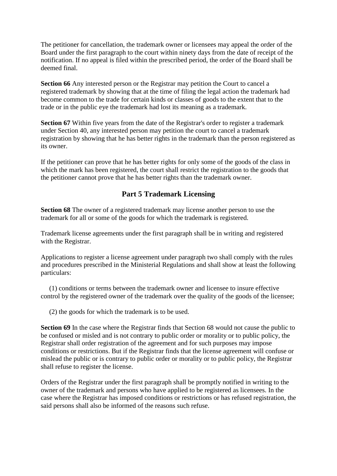The petitioner for cancellation, the trademark owner or licensees may appeal the order of the Board under the first paragraph to the court within ninety days from the date of receipt of the notification. If no appeal is filed within the prescribed period, the order of the Board shall be deemed final.

**Section 66** Any interested person or the Registrar may petition the Court to cancel a registered trademark by showing that at the time of filing the legal action the trademark had become common to the trade for certain kinds or classes of goods to the extent that to the trade or in the public eye the trademark had lost its meaning as a trademark.

**Section 67** Within five years from the date of the Registrar's order to register a trademark under Section 40, any interested person may petition the court to cancel a trademark registration by showing that he has better rights in the trademark than the person registered as its owner.

If the petitioner can prove that he has better rights for only some of the goods of the class in which the mark has been registered, the court shall restrict the registration to the goods that the petitioner cannot prove that he has better rights than the trademark owner.

# **Part 5 Trademark Licensing**

**Section 68** The owner of a registered trademark may license another person to use the trademark for all or some of the goods for which the trademark is registered.

Trademark license agreements under the first paragraph shall be in writing and registered with the Registrar.

Applications to register a license agreement under paragraph two shall comply with the rules and procedures prescribed in the Ministerial Regulations and shall show at least the following particulars:

(1) conditions or terms between the trademark owner and licensee to insure effective control by the registered owner of the trademark over the quality of the goods of the licensee;

(2) the goods for which the trademark is to be used.

**Section 69** In the case where the Registrar finds that Section 68 would not cause the public to be confused or misled and is not contrary to public order or morality or to public policy, the Registrar shall order registration of the agreement and for such purposes may impose conditions or restrictions. But if the Registrar finds that the license agreement will confuse or mislead the public or is contrary to public order or morality or to public policy, the Registrar shall refuse to register the license.

Orders of the Registrar under the first paragraph shall be promptly notified in writing to the owner of the trademark and persons who have applied to be registered as licensees. In the case where the Registrar has imposed conditions or restrictions or has refused registration, the said persons shall also be informed of the reasons such refuse.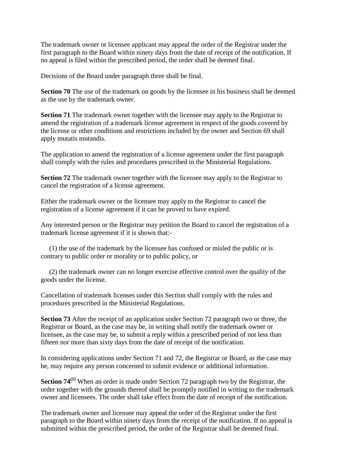The trademark owner or licensee applicant may appeal the order of the Registrar under the first paragraph to the Board within ninety days from the date of receipt of the notification. If no appeal is filed within the prescribed period, the order shall be deemed final.

Decisions of the Board under paragraph three shall be final.

**Section 70** The use of the trademark on goods by the licensee in his business shall be deemed as the use by the trademark owner.

**Section 71** The trademark owner together with the licensee may apply to the Registrar to amend the registration of a trademark license agreement in respect of the goods covered by the license or other conditions and restrictions included by the owner and Section 69 shall apply mutatis mutandis.

The application to amend the registration of a license agreement under the first paragraph shall comply with the rules and procedures prescribed in the Ministerial Regulations.

**Section 72** The trademark owner together with the licensee may apply to the Registrar to cancel the registration of a license agreement.

Either the trademark owner or the licensee may apply to the Registrar to cancel the registration of a license agreement if it can be proved to have expired.

Any interested person or the Registrar may petition the Board to cancel the registration of a trademark license agreement if it is shown that:-

(1) the use of the trademark by the licensee has confused or misled the public or is contrary to public order or morality or to public policy, or

(2) the trademark owner can no longer exercise effective control over the quality of the goods under the license.

Cancellation of trademark licenses under this Section shall comply with the rules and procedures prescribed in the Ministerial Regulations.

**Section 73** After the receipt of an application under Section 72 paragraph two or three, the Registrar or Board, as the case may be, in writing shall notify the trademark owner or licensee, as the case may be, to submit a reply within a prescribed period of not less than fifteen nor more than sixty days from the date of receipt of the notification.

In considering applications under Section 71 and 72, the Registrar or Board, as the case may be, may require any person concerned to submit evidence or additional information.

**Section 74(1)** When an order is made under Section 72 paragraph two by the Registrar, the order together with the grounds thereof shall be promptly notified in writing to the trademark owner and licensees. The order shall take effect from the date of receipt of the notification.

The trademark owner and licensee may appeal the order of the Registrar under the first paragraph to the Board within ninety days from the receipt of the notification. If no appeal is submitted within the prescribed period, the order of the Registrar shall be deemed final.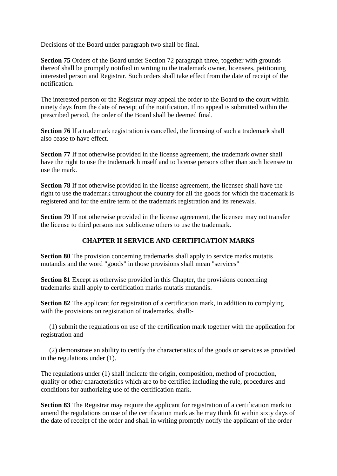Decisions of the Board under paragraph two shall be final.

**Section 75** Orders of the Board under Section 72 paragraph three, together with grounds thereof shall be promptly notified in writing to the trademark owner, licensees, petitioning interested person and Registrar. Such orders shall take effect from the date of receipt of the notification.

The interested person or the Registrar may appeal the order to the Board to the court within ninety days from the date of receipt of the notification. If no appeal is submitted within the prescribed period, the order of the Board shall be deemed final.

**Section 76** If a trademark registration is cancelled, the licensing of such a trademark shall also cease to have effect.

**Section 77** If not otherwise provided in the license agreement, the trademark owner shall have the right to use the trademark himself and to license persons other than such licensee to use the mark.

**Section 78** If not otherwise provided in the license agreement, the licensee shall have the right to use the trademark throughout the country for all the goods for which the trademark is registered and for the entire term of the trademark registration and its renewals.

**Section 79** If not otherwise provided in the license agreement, the licensee may not transfer the license to third persons nor sublicense others to use the trademark.

# **CHAPTER II SERVICE AND CERTIFICATION MARKS**

**Section 80** The provision concerning trademarks shall apply to service marks mutatis mutandis and the word "goods" in those provisions shall mean "services"

**Section 81** Except as otherwise provided in this Chapter, the provisions concerning trademarks shall apply to certification marks mutatis mutandis.

**Section 82** The applicant for registration of a certification mark, in addition to complying with the provisions on registration of trademarks, shall:-

(1) submit the regulations on use of the certification mark together with the application for registration and

(2) demonstrate an ability to certify the characteristics of the goods or services as provided in the regulations under (1).

The regulations under (1) shall indicate the origin, composition, method of production, quality or other characteristics which are to be certified including the rule, procedures and conditions for authorizing use of the certification mark.

**Section 83** The Registrar may require the applicant for registration of a certification mark to amend the regulations on use of the certification mark as he may think fit within sixty days of the date of receipt of the order and shall in writing promptly notify the applicant of the order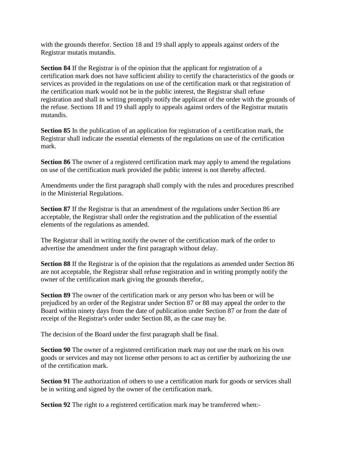with the grounds therefor. Section 18 and 19 shall apply to appeals against orders of the Registrar mutatis mutandis.

**Section 84** If the Registrar is of the opinion that the applicant for registration of a certification mark does not have sufficient ability to certify the characteristics of the goods or services as provided in the regulations on use of the certification mark or that registration of the certification mark would not be in the public interest, the Registrar shall refuse registration and shall in writing promptly notify the applicant of the order with the grounds of the refuse. Sections 18 and 19 shall apply to appeals against orders of the Registrar mutatis mutandis.

**Section 85** In the publication of an application for registration of a certification mark, the Registrar shall indicate the essential elements of the regulations on use of the certification mark.

**Section 86** The owner of a registered certification mark may apply to amend the regulations on use of the certification mark provided the public interest is not thereby affected.

Amendments under the first paragraph shall comply with the rules and procedures prescribed in the Ministerial Regulations.

**Section 87** If the Registrar is that an amendment of the regulations under Section 86 are acceptable, the Registrar shall order the registration and the publication of the essential elements of the regulations as amended.

The Registrar shall in writing notify the owner of the certification mark of the order to advertise the amendment under the first paragraph without delay.

**Section 88** If the Registrar is of the opinion that the regulations as amended under Section 86 are not acceptable, the Registrar shall refuse registration and in writing promptly notify the owner of the certification mark giving the grounds therefor,.

**Section 89** The owner of the certification mark or any person who has been or will be prejudiced by an order of the Registrar under Section 87 or 88 may appeal the order to the Board within ninety days from the date of publication under Section 87 or from the date of receipt of the Registrar's order under Section 88, as the case may be.

The decision of the Board under the first paragraph shall be final.

**Section 90** The owner of a registered certification mark may not use the mark on his own goods or services and may not license other persons to act as certifier by authorizing the use of the certification mark.

**Section 91** The authorization of others to use a certification mark for goods or services shall be in writing and signed by the owner of the certification mark.

**Section 92** The right to a registered certification mark may be transferred when:-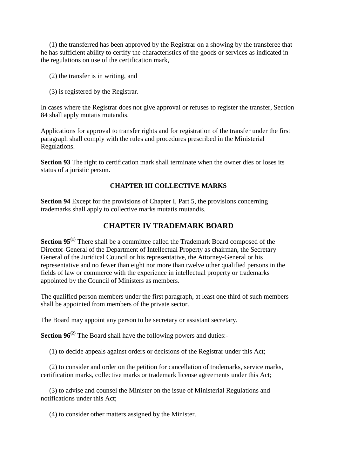(1) the transferred has been approved by the Registrar on a showing by the transferee that he has sufficient ability to certify the characteristics of the goods or services as indicated in the regulations on use of the certification mark,

- (2) the transfer is in writing, and
- (3) is registered by the Registrar.

In cases where the Registrar does not give approval or refuses to register the transfer, Section 84 shall apply mutatis mutandis.

Applications for approval to transfer rights and for registration of the transfer under the first paragraph shall comply with the rules and procedures prescribed in the Ministerial Regulations.

**Section 93** The right to certification mark shall terminate when the owner dies or loses its status of a juristic person.

## **CHAPTER III COLLECTIVE MARKS**

**Section 94** Except for the provisions of Chapter I, Part 5, the provisions concerning trademarks shall apply to collective marks mutatis mutandis.

## **CHAPTER IV TRADEMARK BOARD**

**Section 95<sup>(1)</sup>** There shall be a committee called the Trademark Board composed of the Director-General of the Department of Intellectual Property as chairman, the Secretary General of the Juridical Council or his representative, the Attorney-General or his representative and no fewer than eight nor more than twelve other qualified persons in the fields of law or commerce with the experience in intellectual property or trademarks appointed by the Council of Ministers as members.

The qualified person members under the first paragraph, at least one third of such members shall be appointed from members of the private sector.

The Board may appoint any person to be secretary or assistant secretary.

**Section 96<sup>(2)</sup>** The Board shall have the following powers and duties:-

(1) to decide appeals against orders or decisions of the Registrar under this Act;

(2) to consider and order on the petition for cancellation of trademarks, service marks, certification marks, collective marks or trademark license agreements under this Act;

(3) to advise and counsel the Minister on the issue of Ministerial Regulations and notifications under this Act;

(4) to consider other matters assigned by the Minister.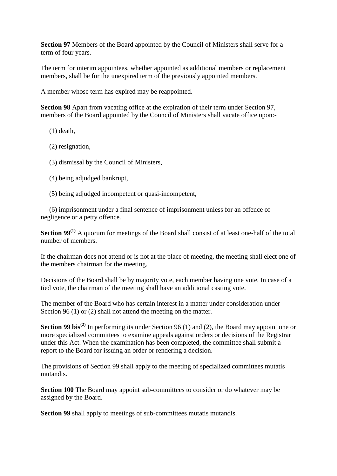**Section 97** Members of the Board appointed by the Council of Ministers shall serve for a term of four years.

The term for interim appointees, whether appointed as additional members or replacement members, shall be for the unexpired term of the previously appointed members.

A member whose term has expired may be reappointed.

**Section 98** Apart from vacating office at the expiration of their term under Section 97, members of the Board appointed by the Council of Ministers shall vacate office upon:-

- (1) death,
- (2) resignation,
- (3) dismissal by the Council of Ministers,
- (4) being adjudged bankrupt,
- (5) being adjudged incompetent or quasi-incompetent,

(6) imprisonment under a final sentence of imprisonment unless for an offence of negligence or a petty offence.

**Section 99**<sup>(1)</sup> A quorum for meetings of the Board shall consist of at least one-half of the total number of members.

If the chairman does not attend or is not at the place of meeting, the meeting shall elect one of the members chairman for the meeting.

Decisions of the Board shall be by majority vote, each member having one vote. In case of a tied vote, the chairman of the meeting shall have an additional casting vote.

The member of the Board who has certain interest in a matter under consideration under Section 96 (1) or (2) shall not attend the meeting on the matter.

**Section 99 bis**<sup>(2)</sup> In performing its under Section 96 (1) and (2), the Board may appoint one or more specialized committees to examine appeals against orders or decisions of the Registrar under this Act. When the examination has been completed, the committee shall submit a report to the Board for issuing an order or rendering a decision.

The provisions of Section 99 shall apply to the meeting of specialized committees mutatis mutandis.

**Section 100** The Board may appoint sub-committees to consider or do whatever may be assigned by the Board.

**Section 99** shall apply to meetings of sub-committees mutatis mutandis.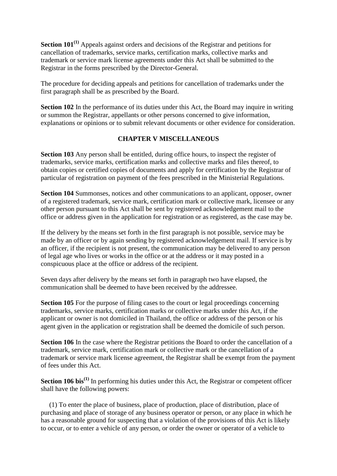**Section 101(1)** Appeals against orders and decisions of the Registrar and petitions for cancellation of trademarks, service marks, certification marks, collective marks and trademark or service mark license agreements under this Act shall be submitted to the Registrar in the forms prescribed by the Director-General.

The procedure for deciding appeals and petitions for cancellation of trademarks under the first paragraph shall be as prescribed by the Board.

**Section 102** In the performance of its duties under this Act, the Board may inquire in writing or summon the Registrar, appellants or other persons concerned to give information, explanations or opinions or to submit relevant documents or other evidence for consideration.

## **CHAPTER V MISCELLANEOUS**

**Section 103** Any person shall be entitled, during office hours, to inspect the register of trademarks, service marks, certification marks and collective marks and files thereof, to obtain copies or certified copies of documents and apply for certification by the Registrar of particular of registration on payment of the fees prescribed in the Ministerial Regulations.

**Section 104** Summonses, notices and other communications to an applicant, opposer, owner of a registered trademark, service mark, certification mark or collective mark, licensee or any other person pursuant to this Act shall be sent by registered acknowledgement mail to the office or address given in the application for registration or as registered, as the case may be.

If the delivery by the means set forth in the first paragraph is not possible, service may be made by an officer or by again sending by registered acknowledgement mail. If service is by an officer, if the recipient is not present, the communication may be delivered to any person of legal age who lives or works in the office or at the address or it may posted in a conspicuous place at the office or address of the recipient.

Seven days after delivery by the means set forth in paragraph two have elapsed, the communication shall be deemed to have been received by the addressee.

**Section 105** For the purpose of filing cases to the court or legal proceedings concerning trademarks, service marks, certification marks or collective marks under this Act, if the applicant or owner is not domiciled in Thailand, the office or address of the person or his agent given in the application or registration shall be deemed the domicile of such person.

**Section 106** In the case where the Registrar petitions the Board to order the cancellation of a trademark, service mark, certification mark or collective mark or the cancellation of a trademark or service mark license agreement, the Registrar shall be exempt from the payment of fees under this Act.

**Section 106 bis(1)** In performing his duties under this Act, the Registrar or competent officer shall have the following powers:

(1) To enter the place of business, place of production, place of distribution, place of purchasing and place of storage of any business operator or person, or any place in which he has a reasonable ground for suspecting that a violation of the provisions of this Act is likely to occur, or to enter a vehicle of any person, or order the owner or operator of a vehicle to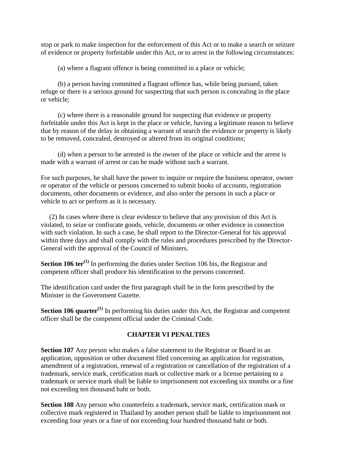stop or park to make inspection for the enforcement of this Act or to make a search or seizure of evidence or property forfeitable under this Act, or to arrest in the following circumstances:

(a) where a flagrant offence is being committed in a place or vehicle;

(b) a person having committed a flagrant offence has, while being pursued, taken refuge or there is a serious ground for suspecting that such person is concealing in the place or vehicle;

(c) where there is a reasonable ground for suspecting that evidence or property forfeitable under this Act is kept in the place or vehicle, having a legitimate reason to believe that by reason of the delay in obtaining a warrant of search the evidence or property is likely to be removed, concealed, destroyed or altered from its original conditions;

(d) when a person to be arrested is the owner of the place or vehicle and the arrest is made with a warrant of arrest or can be made without such a warrant.

For such purposes, he shall have the power to inquire or require the business operator, owner or operator of the vehicle or persons concerned to submit books of accounts, registration documents, other documents or evidence, and also order the persons in such a place or vehicle to act or perform as it is necessary.

(2) In cases where there is clear evidence to believe that any provision of this Act is violated, to seize or confiscate goods, vehicle, documents or other evidence in connection with such violation. In such a case, he shall report to the Director-General for his approval within three days and shall comply with the rules and procedures prescribed by the Director-General with the approval of the Council of Ministers.

**Section 106 ter<sup>(1)</sup>** In performing the duties under Section 106 bis, the Registrar and competent officer shall produce his identification to the persons concerned.

The identification card under the first paragraph shall be in the form prescribed by the Minister in the Government Gazette.

**Section 106 quarter<sup>(1)</sup>** In performing his duties under this Act, the Registrar and competent officer shall be the competent official under the Criminal Code.

#### **CHAPTER VI PENALTIES**

**Section 107** Any person who makes a false statement to the Registrar or Board in an application, opposition or other document filed concerning an application for registration, amendment of a registration, renewal of a registration or cancellation of the registration of a trademark, service mark, certification mark or collective mark or a license pertaining to a trademark or service mark shall be liable to imprisonment not exceeding six months or a fine not exceeding ten thousand baht or both.

**Section 108** Any person who counterfeits a trademark, service mark, certification mark or collective mark registered in Thailand by another person shall be liable to imprisonment not exceeding four years or a fine of not exceeding four hundred thousand baht or both.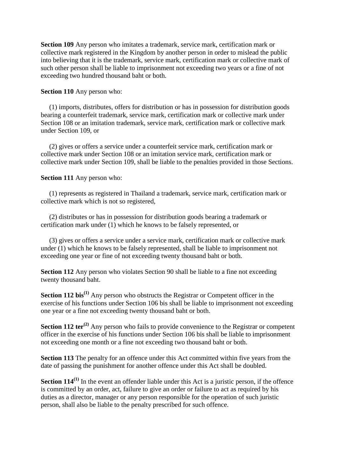**Section 109** Any person who imitates a trademark, service mark, certification mark or collective mark registered in the Kingdom by another person in order to mislead the public into believing that it is the trademark, service mark, certification mark or collective mark of such other person shall be liable to imprisonment not exceeding two years or a fine of not exceeding two hundred thousand baht or both.

**Section 110** Any person who:

(1) imports, distributes, offers for distribution or has in possession for distribution goods bearing a counterfeit trademark, service mark, certification mark or collective mark under Section 108 or an imitation trademark, service mark, certification mark or collective mark under Section 109, or

(2) gives or offers a service under a counterfeit service mark, certification mark or collective mark under Section 108 or an imitation service mark, certification mark or collective mark under Section 109, shall be liable to the penalties provided in those Sections.

**Section 111** Any person who:

(1) represents as registered in Thailand a trademark, service mark, certification mark or collective mark which is not so registered,

(2) distributes or has in possession for distribution goods bearing a trademark or certification mark under (1) which he knows to be falsely represented, or

(3) gives or offers a service under a service mark, certification mark or collective mark under (1) which he knows to be falsely represented, shall be liable to imprisonment not exceeding one year or fine of not exceeding twenty thousand baht or both.

**Section 112** Any person who violates Section 90 shall be liable to a fine not exceeding twenty thousand baht.

**Section 112 bis**<sup>(1)</sup> Any person who obstructs the Registrar or Competent officer in the exercise of his functions under Section 106 bis shall be liable to imprisonment not exceeding one year or a fine not exceeding twenty thousand baht or both.

**Section 112 ter<sup>(2)</sup>** Any person who fails to provide convenience to the Registrar or competent officer in the exercise of his functions under Section 106 bis shall be liable to imprisonment not exceeding one month or a fine not exceeding two thousand baht or both.

**Section 113** The penalty for an offence under this Act committed within five years from the date of passing the punishment for another offence under this Act shall be doubled.

**Section 114<sup>(1)</sup>** In the event an offender liable under this Act is a juristic person, if the offence is committed by an order, act, failure to give an order or failure to act as required by his duties as a director, manager or any person responsible for the operation of such juristic person, shall also be liable to the penalty prescribed for such offence.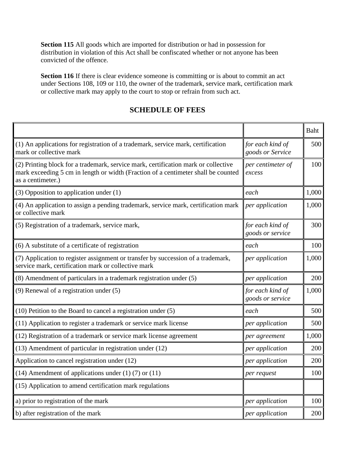**Section 115** All goods which are imported for distribution or had in possession for distribution in violation of this Act shall be confiscated whether or not anyone has been convicted of the offence.

**Section 116** If there is clear evidence someone is committing or is about to commit an act under Sections 108, 109 or 110, the owner of the trademark, service mark, certification mark or collective mark may apply to the court to stop or refrain from such act.

# **SCHEDULE OF FEES**

|                                                                                                                                                                                              |                                      | <b>Baht</b> |
|----------------------------------------------------------------------------------------------------------------------------------------------------------------------------------------------|--------------------------------------|-------------|
| (1) An applications for registration of a trademark, service mark, certification<br>mark or collective mark                                                                                  | for each kind of<br>goods or Service | 500         |
| (2) Printing block for a trademark, service mark, certification mark or collective<br>mark exceeding 5 cm in length or width (Fraction of a centimeter shall be counted<br>as a centimeter.) | per centimeter of<br>excess          | 100         |
| $(3)$ Opposition to application under $(1)$                                                                                                                                                  | each                                 | 1,000       |
| (4) An application to assign a pending trademark, service mark, certification mark<br>or collective mark                                                                                     | per application                      | 1,000       |
| (5) Registration of a trademark, service mark,                                                                                                                                               | for each kind of<br>goods or service | 300         |
| (6) A substitute of a certificate of registration                                                                                                                                            | each                                 | 100         |
| (7) Application to register assignment or transfer by succession of a trademark,<br>service mark, certification mark or collective mark                                                      | per application                      | 1,000       |
| (8) Amendment of particulars in a trademark registration under (5)                                                                                                                           | per application                      | 200         |
| $(9)$ Renewal of a registration under $(5)$                                                                                                                                                  | for each kind of<br>goods or service | 1,000       |
| (10) Petition to the Board to cancel a registration under (5)                                                                                                                                | each                                 | 500         |
| (11) Application to register a trademark or service mark license                                                                                                                             | per application                      | 500         |
| (12) Registration of a trademark or service mark license agreement                                                                                                                           | per agreement                        | 1,000       |
| (13) Amendment of particular in registration under (12)                                                                                                                                      | per application                      | 200         |
| Application to cancel registration under (12)                                                                                                                                                | per application                      | 200         |
| (14) Amendment of applications under $(1)$ (7) or $(11)$                                                                                                                                     | per request                          | 100         |
| (15) Application to amend certification mark regulations                                                                                                                                     |                                      |             |
| a) prior to registration of the mark                                                                                                                                                         | per application                      | 100         |
| b) after registration of the mark                                                                                                                                                            | per application                      | 200         |